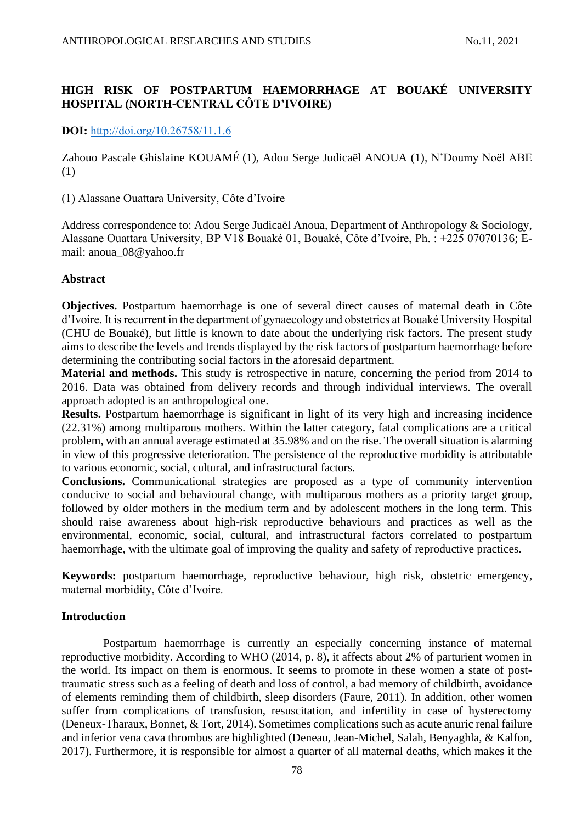# **HIGH RISK OF POSTPARTUM HAEMORRHAGE AT BOUAKÉ UNIVERSITY HOSPITAL (NORTH-CENTRAL CÔTE D'IVOIRE)**

# **DOI:** [http://doi.org/10.26758/11.1.6](https://www.journalstudiesanthropology.ro/en/high-risk-of-postpartum-haemorrhage-at-bouak-university-hospital-north-central-c-te-d-ivoire/a164/)

Zahouo Pascale Ghislaine KOUAMÉ (1), Adou Serge Judicaël ANOUA (1), N'Doumy Noël ABE (1)

(1) Alassane Ouattara University, Côte d'Ivoire

Address correspondence to: Adou Serge Judicaël Anoua, Department of Anthropology & Sociology, Alassane Ouattara University, BP V18 Bouaké 01, Bouaké, Côte d'Ivoire, Ph. : +225 07070136; Email: [anoua\\_08@yahoo.fr](mailto:anoua_08@yahoo.fr)

# **Abstract**

**Objectives.** Postpartum haemorrhage is one of several direct causes of maternal death in Côte d'Ivoire. It is recurrent in the department of gynaecology and obstetrics at Bouaké University Hospital (CHU de Bouaké), but little is known to date about the underlying risk factors. The present study aims to describe the levels and trends displayed by the risk factors of postpartum haemorrhage before determining the contributing social factors in the aforesaid department.

**Material and methods.** This study is retrospective in nature, concerning the period from 2014 to 2016. Data was obtained from delivery records and through individual interviews. The overall approach adopted is an anthropological one.

**Results.** Postpartum haemorrhage is significant in light of its very high and increasing incidence (22.31%) among multiparous mothers. Within the latter category, fatal complications are a critical problem, with an annual average estimated at 35.98% and on the rise. The overall situation is alarming in view of this progressive deterioration. The persistence of the reproductive morbidity is attributable to various economic, social, cultural, and infrastructural factors.

**Conclusions.** Communicational strategies are proposed as a type of community intervention conducive to social and behavioural change, with multiparous mothers as a priority target group, followed by older mothers in the medium term and by adolescent mothers in the long term. This should raise awareness about high-risk reproductive behaviours and practices as well as the environmental, economic, social, cultural, and infrastructural factors correlated to postpartum haemorrhage, with the ultimate goal of improving the quality and safety of reproductive practices.

**Keywords:** postpartum haemorrhage, reproductive behaviour, high risk, obstetric emergency, maternal morbidity, Côte d'Ivoire.

# **Introduction**

Postpartum haemorrhage is currently an especially concerning instance of maternal reproductive morbidity. According to WHO (2014, p. 8), it affects about 2% of parturient women in the world. Its impact on them is enormous. It seems to promote in these women a state of posttraumatic stress such as a feeling of death and loss of control, a bad memory of childbirth, avoidance of elements reminding them of childbirth, sleep disorders (Faure, 2011). In addition, other women suffer from complications of transfusion, resuscitation, and infertility in case of hysterectomy (Deneux-Tharaux, Bonnet, & Tort, 2014). Sometimes complications such as acute anuric renal failure and inferior vena cava thrombus are highlighted (Deneau, Jean-Michel, Salah, Benyaghla, & Kalfon, 2017). Furthermore, it is responsible for almost a quarter of all maternal deaths, which makes it the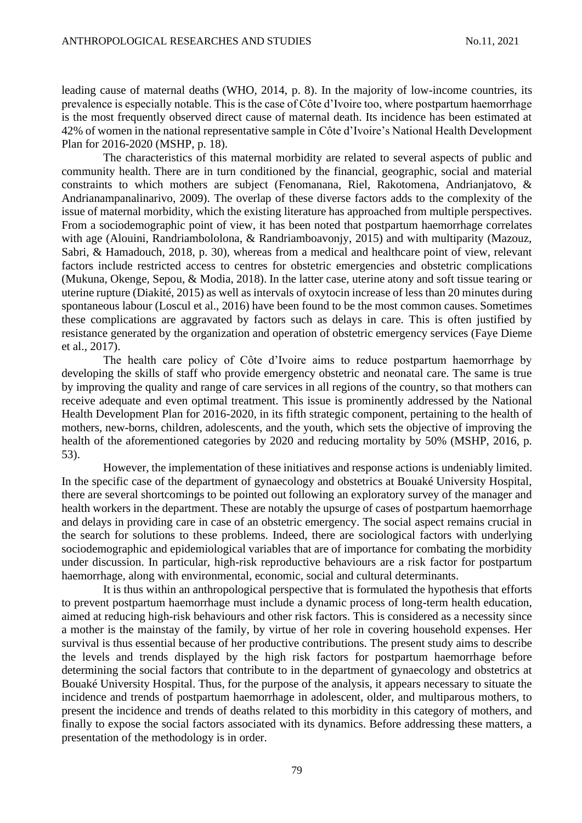leading cause of maternal deaths (WHO, 2014, p. 8). In the majority of low-income countries, its prevalence is especially notable. This is the case of Côte d'Ivoire too, where postpartum haemorrhage is the most frequently observed direct cause of maternal death. Its incidence has been estimated at 42% of women in the national representative sample in Côte d'Ivoire's National Health Development Plan for 2016-2020 (MSHP, p. 18).

The characteristics of this maternal morbidity are related to several aspects of public and community health. There are in turn conditioned by the financial, geographic, social and material constraints to which mothers are subject (Fenomanana, Riel, Rakotomena, Andrianjatovo, & Andrianampanalinarivo, 2009). The overlap of these diverse factors adds to the complexity of the issue of maternal morbidity, which the existing literature has approached from multiple perspectives. From a sociodemographic point of view, it has been noted that postpartum haemorrhage correlates with age (Alouini, Randriambololona, & Randriamboavonjy, 2015) and with multiparity (Mazouz, Sabri, & Hamadouch, 2018, p. 30), whereas from a medical and healthcare point of view, relevant factors include restricted access to centres for obstetric emergencies and obstetric complications (Mukuna, Okenge, Sepou, & Modia, 2018). In the latter case, uterine atony and soft tissue tearing or uterine rupture (Diakité, 2015) as well as intervals of oxytocin increase of less than 20 minutes during spontaneous labour (Loscul et al., 2016) have been found to be the most common causes. Sometimes these complications are aggravated by factors such as delays in care. This is often justified by resistance generated by the organization and operation of obstetric emergency services (Faye Dieme et al., 2017).

The health care policy of Côte d'Ivoire aims to reduce postpartum haemorrhage by developing the skills of staff who provide emergency obstetric and neonatal care. The same is true by improving the quality and range of care services in all regions of the country, so that mothers can receive adequate and even optimal treatment. This issue is prominently addressed by the National Health Development Plan for 2016-2020, in its fifth strategic component, pertaining to the health of mothers, new-borns, children, adolescents, and the youth, which sets the objective of improving the health of the aforementioned categories by 2020 and reducing mortality by 50% (MSHP, 2016, p. 53).

However, the implementation of these initiatives and response actions is undeniably limited. In the specific case of the department of gynaecology and obstetrics at Bouaké University Hospital, there are several shortcomings to be pointed out following an exploratory survey of the manager and health workers in the department. These are notably the upsurge of cases of postpartum haemorrhage and delays in providing care in case of an obstetric emergency. The social aspect remains crucial in the search for solutions to these problems. Indeed, there are sociological factors with underlying sociodemographic and epidemiological variables that are of importance for combating the morbidity under discussion. In particular, high-risk reproductive behaviours are a risk factor for postpartum haemorrhage, along with environmental, economic, social and cultural determinants.

It is thus within an anthropological perspective that is formulated the hypothesis that efforts to prevent postpartum haemorrhage must include a dynamic process of long-term health education, aimed at reducing high-risk behaviours and other risk factors. This is considered as a necessity since a mother is the mainstay of the family, by virtue of her role in covering household expenses. Her survival is thus essential because of her productive contributions. The present study aims to describe the levels and trends displayed by the high risk factors for postpartum haemorrhage before determining the social factors that contribute to in the department of gynaecology and obstetrics at Bouaké University Hospital. Thus, for the purpose of the analysis, it appears necessary to situate the incidence and trends of postpartum haemorrhage in adolescent, older, and multiparous mothers, to present the incidence and trends of deaths related to this morbidity in this category of mothers, and finally to expose the social factors associated with its dynamics. Before addressing these matters, a presentation of the methodology is in order.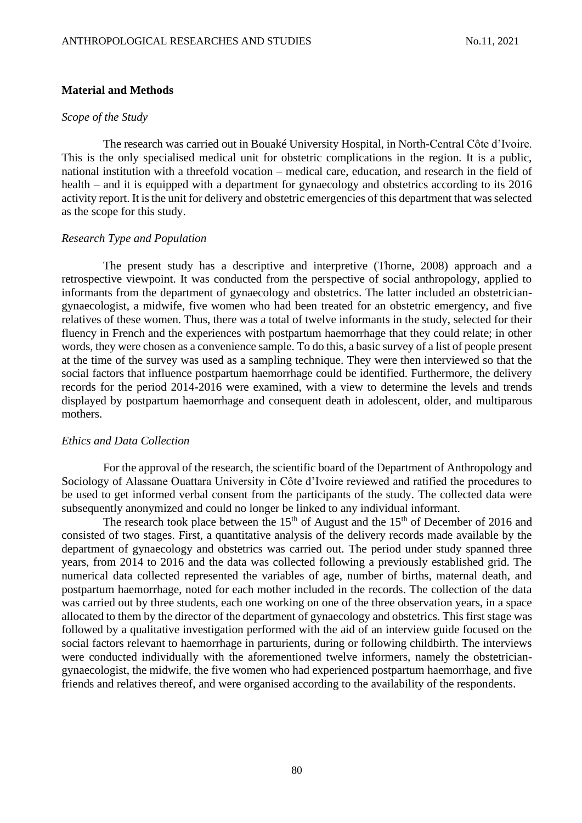## **Material and Methods**

## *Scope of the Study*

The research was carried out in Bouaké University Hospital, in North-Central Côte d'Ivoire. This is the only specialised medical unit for obstetric complications in the region. It is a public, national institution with a threefold vocation – medical care, education, and research in the field of health – and it is equipped with a department for gynaecology and obstetrics according to its 2016 activity report. It is the unit for delivery and obstetric emergencies of this department that was selected as the scope for this study.

## *Research Type and Population*

The present study has a descriptive and interpretive (Thorne, 2008) approach and a retrospective viewpoint. It was conducted from the perspective of social anthropology, applied to informants from the department of gynaecology and obstetrics. The latter included an obstetriciangynaecologist, a midwife, five women who had been treated for an obstetric emergency, and five relatives of these women. Thus, there was a total of twelve informants in the study, selected for their fluency in French and the experiences with postpartum haemorrhage that they could relate; in other words, they were chosen as a convenience sample. To do this, a basic survey of a list of people present at the time of the survey was used as a sampling technique. They were then interviewed so that the social factors that influence postpartum haemorrhage could be identified. Furthermore, the delivery records for the period 2014-2016 were examined, with a view to determine the levels and trends displayed by postpartum haemorrhage and consequent death in adolescent, older, and multiparous mothers.

#### *Ethics and Data Collection*

For the approval of the research, the scientific board of the Department of Anthropology and Sociology of Alassane Ouattara University in Côte d'Ivoire reviewed and ratified the procedures to be used to get informed verbal consent from the participants of the study. The collected data were subsequently anonymized and could no longer be linked to any individual informant.

The research took place between the  $15<sup>th</sup>$  of August and the  $15<sup>th</sup>$  of December of 2016 and consisted of two stages. First, a quantitative analysis of the delivery records made available by the department of gynaecology and obstetrics was carried out. The period under study spanned three years, from 2014 to 2016 and the data was collected following a previously established grid. The numerical data collected represented the variables of age, number of births, maternal death, and postpartum haemorrhage, noted for each mother included in the records. The collection of the data was carried out by three students, each one working on one of the three observation years, in a space allocated to them by the director of the department of gynaecology and obstetrics. This first stage was followed by a qualitative investigation performed with the aid of an interview guide focused on the social factors relevant to haemorrhage in parturients, during or following childbirth. The interviews were conducted individually with the aforementioned twelve informers, namely the obstetriciangynaecologist, the midwife, the five women who had experienced postpartum haemorrhage, and five friends and relatives thereof, and were organised according to the availability of the respondents.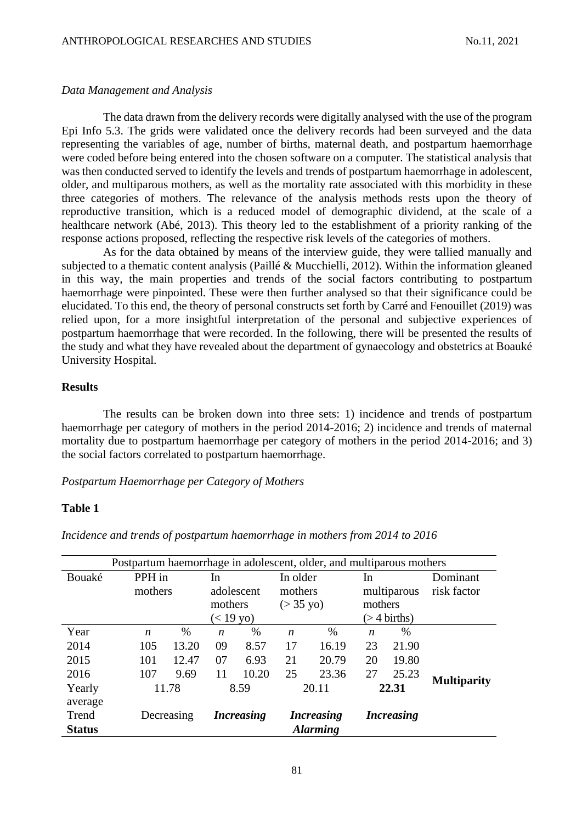## *Data Management and Analysis*

The data drawn from the delivery records were digitally analysed with the use of the program Epi Info 5.3. The grids were validated once the delivery records had been surveyed and the data representing the variables of age, number of births, maternal death, and postpartum haemorrhage were coded before being entered into the chosen software on a computer. The statistical analysis that was then conducted served to identify the levels and trends of postpartum haemorrhage in adolescent, older, and multiparous mothers, as well as the mortality rate associated with this morbidity in these three categories of mothers. The relevance of the analysis methods rests upon the theory of reproductive transition, which is a reduced model of demographic dividend, at the scale of a healthcare network (Abé, 2013). This theory led to the establishment of a priority ranking of the response actions proposed, reflecting the respective risk levels of the categories of mothers.

As for the data obtained by means of the interview guide, they were tallied manually and subjected to a thematic content analysis (Paillé & Mucchielli, 2012). Within the information gleaned in this way, the main properties and trends of the social factors contributing to postpartum haemorrhage were pinpointed. These were then further analysed so that their significance could be elucidated. To this end, the theory of personal constructs set forth by Carré and Fenouillet (2019) was relied upon, for a more insightful interpretation of the personal and subjective experiences of postpartum haemorrhage that were recorded. In the following, there will be presented the results of the study and what they have revealed about the department of gynaecology and obstetrics at Boauké University Hospital.

## **Results**

The results can be broken down into three sets: 1) incidence and trends of postpartum haemorrhage per category of mothers in the period 2014-2016; 2) incidence and trends of maternal mortality due to postpartum haemorrhage per category of mothers in the period 2014-2016; and 3) the social factors correlated to postpartum haemorrhage.

*Postpartum Haemorrhage per Category of Mothers*

## **Table 1**

| Postpartum haemorrhage in adolescent, older, and multiparous mothers |            |       |                   |      |                     |                  |                          |       |             |                    |
|----------------------------------------------------------------------|------------|-------|-------------------|------|---------------------|------------------|--------------------------|-------|-------------|--------------------|
| Bouaké                                                               | PPH in     |       |                   | In.  |                     | In older         |                          | In    |             | Dominant           |
|                                                                      | mothers    |       | adolescent        |      | mothers             |                  | multiparous              |       | risk factor |                    |
|                                                                      |            |       | mothers           |      | $(> 35 \text{ yo})$ |                  | mothers                  |       |             |                    |
|                                                                      |            |       | $(< 19$ yo)       |      |                     |                  | $($ > 4 births)          |       |             |                    |
| Year                                                                 |            | n     | $\%$              | n    | $\%$                | $\boldsymbol{n}$ | %                        | n     | $\%$        |                    |
| 2014                                                                 |            | 105   | 13.20             | 09   | 8.57                | 17               | 16.19                    | 23    | 21.90       |                    |
| 2015                                                                 |            | 101   | 12.47             | 07   | 6.93                | 21               | 20.79                    | 20    | 19.80       |                    |
| 2016                                                                 |            | 107   | 9.69              | 11   | 10.20               | 25               | 23.36                    | 27    | 25.23       |                    |
| Yearly                                                               |            | 11.78 |                   | 8.59 |                     | 20.11            |                          | 22.31 |             | <b>Multiparity</b> |
| average                                                              |            |       |                   |      |                     |                  |                          |       |             |                    |
| Trend                                                                | Decreasing |       | <b>Increasing</b> |      | <i>Increasing</i>   |                  | <i><b>Increasing</b></i> |       |             |                    |
| <b>Status</b>                                                        |            |       |                   |      |                     |                  | <b>Alarming</b>          |       |             |                    |

*Incidence and trends of postpartum haemorrhage in mothers from 2014 to 2016*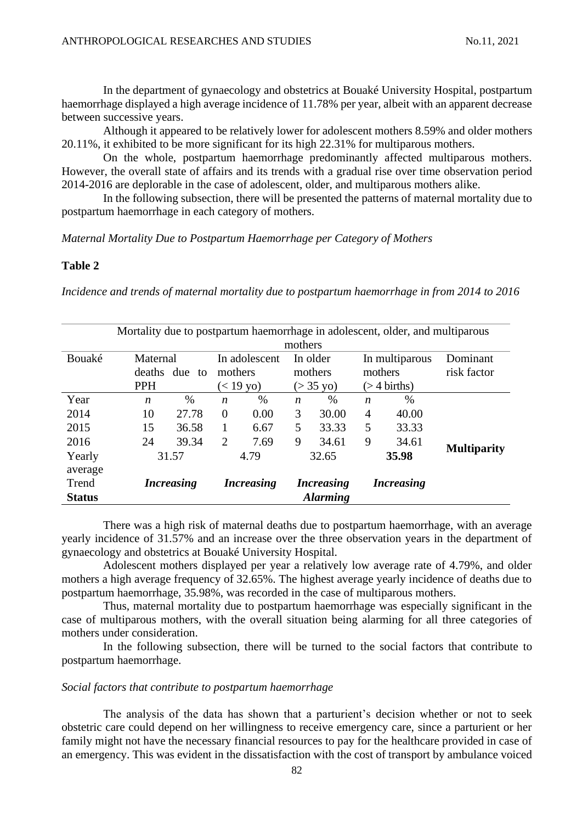In the department of gynaecology and obstetrics at Bouaké University Hospital, postpartum haemorrhage displayed a high average incidence of 11.78% per year, albeit with an apparent decrease between successive years.

Although it appeared to be relatively lower for adolescent mothers 8.59% and older mothers 20.11%, it exhibited to be more significant for its high 22.31% for multiparous mothers.

On the whole, postpartum haemorrhage predominantly affected multiparous mothers. However, the overall state of affairs and its trends with a gradual rise over time observation period 2014-2016 are deplorable in the case of adolescent, older, and multiparous mothers alike.

In the following subsection, there will be presented the patterns of maternal mortality due to postpartum haemorrhage in each category of mothers.

*Maternal Mortality Due to Postpartum Haemorrhage per Category of Mothers*

## **Table 2**

*Incidence and trends of maternal mortality due to postpartum haemorrhage in from 2014 to 2016*

| Mortality due to postpartum haemorrhage in adolescent, older, and multiparous<br>mothers |                                            |       |                                         |      |                                            |       |                                              |       |                         |
|------------------------------------------------------------------------------------------|--------------------------------------------|-------|-----------------------------------------|------|--------------------------------------------|-------|----------------------------------------------|-------|-------------------------|
| Bouaké                                                                                   | Maternal<br>deaths<br>due to<br><b>PPH</b> |       | In adolescent<br>mothers<br>$(< 19$ yo) |      | In older<br>mothers<br>$(> 35 \text{ yo})$ |       | In multiparous<br>mothers<br>$($ > 4 births) |       | Dominant<br>risk factor |
| Year                                                                                     | $\boldsymbol{n}$                           | %     | $\boldsymbol{n}$                        | $\%$ | $\boldsymbol{n}$                           | %     | $\boldsymbol{n}$                             | $\%$  |                         |
| 2014                                                                                     | 10                                         | 27.78 | $\overline{0}$                          | 0.00 | 3                                          | 30.00 | 4                                            | 40.00 |                         |
| 2015                                                                                     | 15                                         | 36.58 |                                         | 6.67 | 5                                          | 33.33 | 5                                            | 33.33 |                         |
| 2016                                                                                     | 24                                         | 39.34 | 2                                       | 7.69 | 9                                          | 34.61 | 9                                            | 34.61 |                         |
| Yearly<br>average                                                                        | 31.57                                      |       | 4.79                                    |      | 32.65                                      |       | 35.98                                        |       | <b>Multiparity</b>      |
| Trend<br><b>Status</b>                                                                   | <i>Increasing</i>                          |       | <i>Increasing</i>                       |      | <i>Increasing</i><br><b>Alarming</b>       |       | <i><b>Increasing</b></i>                     |       |                         |

There was a high risk of maternal deaths due to postpartum haemorrhage, with an average yearly incidence of 31.57% and an increase over the three observation years in the department of gynaecology and obstetrics at Bouaké University Hospital.

Adolescent mothers displayed per year a relatively low average rate of 4.79%, and older mothers a high average frequency of 32.65%. The highest average yearly incidence of deaths due to postpartum haemorrhage, 35.98%, was recorded in the case of multiparous mothers.

Thus, maternal mortality due to postpartum haemorrhage was especially significant in the case of multiparous mothers, with the overall situation being alarming for all three categories of mothers under consideration.

In the following subsection, there will be turned to the social factors that contribute to postpartum haemorrhage.

## *Social factors that contribute to postpartum haemorrhage*

The analysis of the data has shown that a parturient's decision whether or not to seek obstetric care could depend on her willingness to receive emergency care, since a parturient or her family might not have the necessary financial resources to pay for the healthcare provided in case of an emergency. This was evident in the dissatisfaction with the cost of transport by ambulance voiced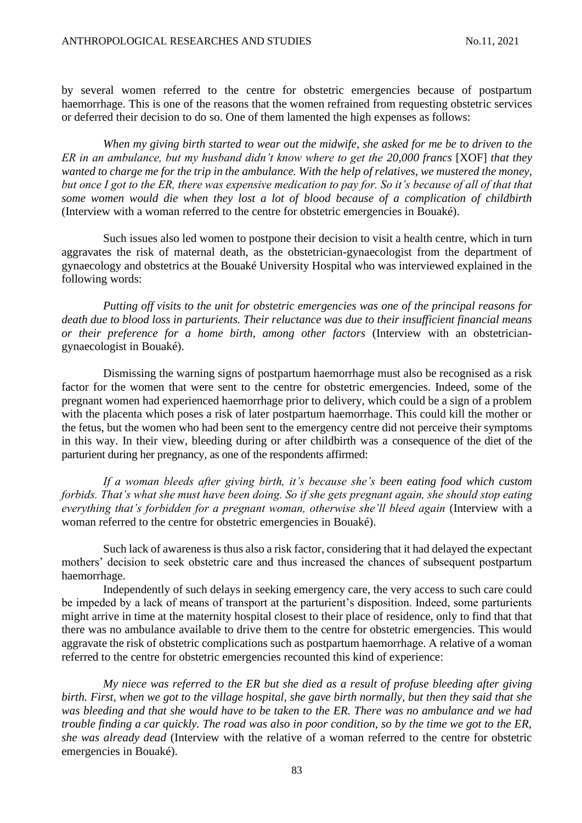by several women referred to the centre for obstetric emergencies because of postpartum haemorrhage. This is one of the reasons that the women refrained from requesting obstetric services or deferred their decision to do so. One of them lamented the high expenses as follows:

*When my giving birth started to wear out the midwife, she asked for me be to driven to the ER in an ambulance, but my husband didn't know where to get the 20,000 francs* [XOF] *that they wanted to charge me for the trip in the ambulance. With the help of relatives, we mustered the money, but once I got to the ER, there was expensive medication to pay for. So it's because of all of that that some women would die when they lost a lot of blood because of a complication of childbirth* (Interview with a woman referred to the centre for obstetric emergencies in Bouaké).

Such issues also led women to postpone their decision to visit a health centre, which in turn aggravates the risk of maternal death, as the obstetrician-gynaecologist from the department of gynaecology and obstetrics at the Bouaké University Hospital who was interviewed explained in the following words:

*Putting off visits to the unit for obstetric emergencies was one of the principal reasons for death due to blood loss in parturients. Their reluctance was due to their insufficient financial means or their preference for a home birth, among other factors* (Interview with an obstetriciangynaecologist in Bouaké).

Dismissing the warning signs of postpartum haemorrhage must also be recognised as a risk factor for the women that were sent to the centre for obstetric emergencies. Indeed, some of the pregnant women had experienced haemorrhage prior to delivery, which could be a sign of a problem with the placenta which poses a risk of later postpartum haemorrhage. This could kill the mother or the fetus, but the women who had been sent to the emergency centre did not perceive their symptoms in this way. In their view, bleeding during or after childbirth was a consequence of the diet of the parturient during her pregnancy, as one of the respondents affirmed:

*If a woman bleeds after giving birth, it's because she's been eating food which custom forbids. That's what she must have been doing. So if she gets pregnant again, she should stop eating everything that's forbidden for a pregnant woman, otherwise she'll bleed again* (Interview with a woman referred to the centre for obstetric emergencies in Bouaké).

Such lack of awareness is thus also a risk factor, considering that it had delayed the expectant mothers' decision to seek obstetric care and thus increased the chances of subsequent postpartum haemorrhage.

Independently of such delays in seeking emergency care, the very access to such care could be impeded by a lack of means of transport at the parturient's disposition. Indeed, some parturients might arrive in time at the maternity hospital closest to their place of residence, only to find that that there was no ambulance available to drive them to the centre for obstetric emergencies. This would aggravate the risk of obstetric complications such as postpartum haemorrhage. A relative of a woman referred to the centre for obstetric emergencies recounted this kind of experience:

*My niece was referred to the ER but she died as a result of profuse bleeding after giving birth. First, when we got to the village hospital, she gave birth normally, but then they said that she was bleeding and that she would have to be taken to the ER. There was no ambulance and we had trouble finding a car quickly. The road was also in poor condition, so by the time we got to the ER, she was already dead* (Interview with the relative of a woman referred to the centre for obstetric emergencies in Bouaké).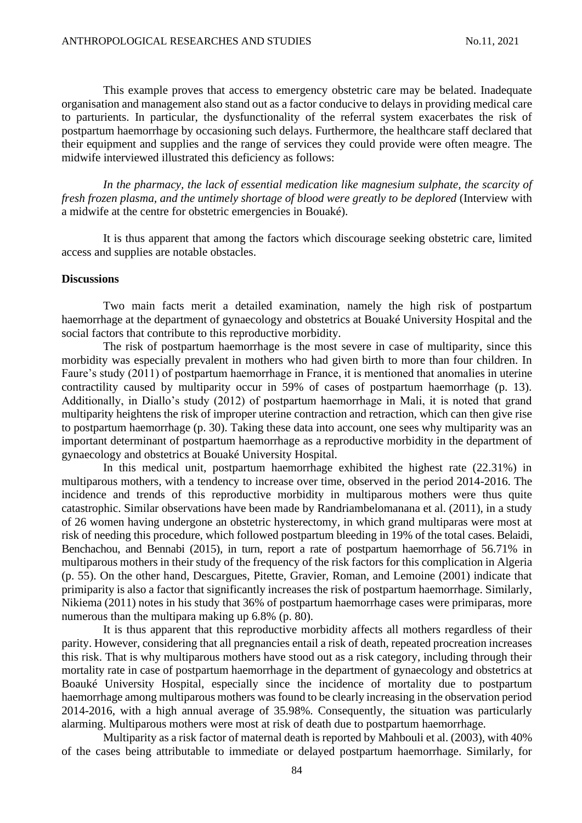This example proves that access to emergency obstetric care may be belated. Inadequate organisation and management also stand out as a factor conducive to delays in providing medical care to parturients. In particular, the dysfunctionality of the referral system exacerbates the risk of postpartum haemorrhage by occasioning such delays. Furthermore, the healthcare staff declared that their equipment and supplies and the range of services they could provide were often meagre. The midwife interviewed illustrated this deficiency as follows:

*In the pharmacy, the lack of essential medication like magnesium sulphate, the scarcity of fresh frozen plasma, and the untimely shortage of blood were greatly to be deplored* (Interview with a midwife at the centre for obstetric emergencies in Bouaké).

It is thus apparent that among the factors which discourage seeking obstetric care, limited access and supplies are notable obstacles.

#### **Discussions**

Two main facts merit a detailed examination, namely the high risk of postpartum haemorrhage at the department of gynaecology and obstetrics at Bouaké University Hospital and the social factors that contribute to this reproductive morbidity.

The risk of postpartum haemorrhage is the most severe in case of multiparity, since this morbidity was especially prevalent in mothers who had given birth to more than four children. In Faure's study (2011) of postpartum haemorrhage in France, it is mentioned that anomalies in uterine contractility caused by multiparity occur in 59% of cases of postpartum haemorrhage (p. 13). Additionally, in Diallo's study (2012) of postpartum haemorrhage in Mali, it is noted that grand multiparity heightens the risk of improper uterine contraction and retraction, which can then give rise to postpartum haemorrhage (p. 30). Taking these data into account, one sees why multiparity was an important determinant of postpartum haemorrhage as a reproductive morbidity in the department of gynaecology and obstetrics at Bouaké University Hospital.

In this medical unit, postpartum haemorrhage exhibited the highest rate (22.31%) in multiparous mothers, with a tendency to increase over time, observed in the period 2014-2016. The incidence and trends of this reproductive morbidity in multiparous mothers were thus quite catastrophic. Similar observations have been made by Randriambelomanana et al. (2011), in a study of 26 women having undergone an obstetric hysterectomy, in which grand multiparas were most at risk of needing this procedure, which followed postpartum bleeding in 19% of the total cases. Belaidi, Benchachou, and Bennabi (2015), in turn, report a rate of postpartum haemorrhage of 56.71% in multiparous mothers in their study of the frequency of the risk factors for this complication in Algeria (p. 55). On the other hand, Descargues, Pitette, Gravier, Roman, and Lemoine (2001) indicate that primiparity is also a factor that significantly increases the risk of postpartum haemorrhage. Similarly, Nikiema (2011) notes in his study that 36% of postpartum haemorrhage cases were primiparas, more numerous than the multipara making up 6.8% (p. 80).

It is thus apparent that this reproductive morbidity affects all mothers regardless of their parity. However, considering that all pregnancies entail a risk of death, repeated procreation increases this risk. That is why multiparous mothers have stood out as a risk category, including through their mortality rate in case of postpartum haemorrhage in the department of gynaecology and obstetrics at Boauké University Hospital, especially since the incidence of mortality due to postpartum haemorrhage among multiparous mothers was found to be clearly increasing in the observation period 2014-2016, with a high annual average of 35.98%. Consequently, the situation was particularly alarming. Multiparous mothers were most at risk of death due to postpartum haemorrhage.

Multiparity as a risk factor of maternal death is reported by Mahbouli et al. (2003), with 40% of the cases being attributable to immediate or delayed postpartum haemorrhage. Similarly, for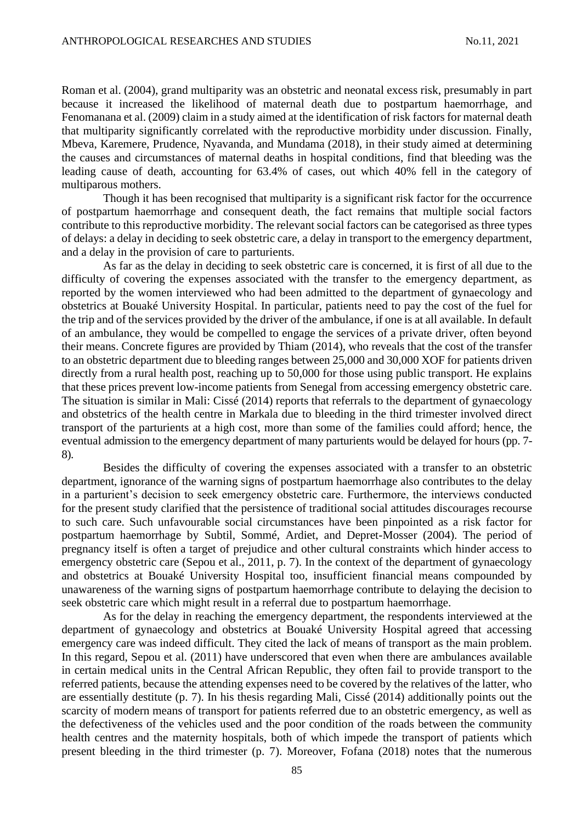Roman et al. (2004), grand multiparity was an obstetric and neonatal excess risk, presumably in part because it increased the likelihood of maternal death due to postpartum haemorrhage, and Fenomanana et al. (2009) claim in a study aimed at the identification of risk factors for maternal death that multiparity significantly correlated with the reproductive morbidity under discussion. Finally, Mbeva, Karemere, Prudence, Nyavanda, and Mundama (2018), in their study aimed at determining the causes and circumstances of maternal deaths in hospital conditions, find that bleeding was the leading cause of death, accounting for 63.4% of cases, out which 40% fell in the category of multiparous mothers.

Though it has been recognised that multiparity is a significant risk factor for the occurrence of postpartum haemorrhage and consequent death, the fact remains that multiple social factors contribute to this reproductive morbidity. The relevant social factors can be categorised as three types of delays: a delay in deciding to seek obstetric care, a delay in transport to the emergency department, and a delay in the provision of care to parturients.

As far as the delay in deciding to seek obstetric care is concerned, it is first of all due to the difficulty of covering the expenses associated with the transfer to the emergency department, as reported by the women interviewed who had been admitted to the department of gynaecology and obstetrics at Bouaké University Hospital. In particular, patients need to pay the cost of the fuel for the trip and of the services provided by the driver of the ambulance, if one is at all available. In default of an ambulance, they would be compelled to engage the services of a private driver, often beyond their means. Concrete figures are provided by Thiam (2014), who reveals that the cost of the transfer to an obstetric department due to bleeding ranges between 25,000 and 30,000 XOF for patients driven directly from a rural health post, reaching up to 50,000 for those using public transport. He explains that these prices prevent low-income patients from Senegal from accessing emergency obstetric care. The situation is similar in Mali: Cissé (2014) reports that referrals to the department of gynaecology and obstetrics of the health centre in Markala due to bleeding in the third trimester involved direct transport of the parturients at a high cost, more than some of the families could afford; hence, the eventual admission to the emergency department of many parturients would be delayed for hours (pp. 7- 8).

Besides the difficulty of covering the expenses associated with a transfer to an obstetric department, ignorance of the warning signs of postpartum haemorrhage also contributes to the delay in a parturient's decision to seek emergency obstetric care. Furthermore, the interviews conducted for the present study clarified that the persistence of traditional social attitudes discourages recourse to such care. Such unfavourable social circumstances have been pinpointed as a risk factor for postpartum haemorrhage by Subtil, Sommé, Ardiet, and Depret-Mosser (2004). The period of pregnancy itself is often a target of prejudice and other cultural constraints which hinder access to emergency obstetric care (Sepou et al., 2011, p. 7). In the context of the department of gynaecology and obstetrics at Bouaké University Hospital too, insufficient financial means compounded by unawareness of the warning signs of postpartum haemorrhage contribute to delaying the decision to seek obstetric care which might result in a referral due to postpartum haemorrhage.

As for the delay in reaching the emergency department, the respondents interviewed at the department of gynaecology and obstetrics at Bouaké University Hospital agreed that accessing emergency care was indeed difficult. They cited the lack of means of transport as the main problem. In this regard, Sepou et al. (2011) have underscored that even when there are ambulances available in certain medical units in the Central African Republic, they often fail to provide transport to the referred patients, because the attending expenses need to be covered by the relatives of the latter, who are essentially destitute (p. 7). In his thesis regarding Mali, Cissé (2014) additionally points out the scarcity of modern means of transport for patients referred due to an obstetric emergency, as well as the defectiveness of the vehicles used and the poor condition of the roads between the community health centres and the maternity hospitals, both of which impede the transport of patients which present bleeding in the third trimester (p. 7). Moreover, Fofana (2018) notes that the numerous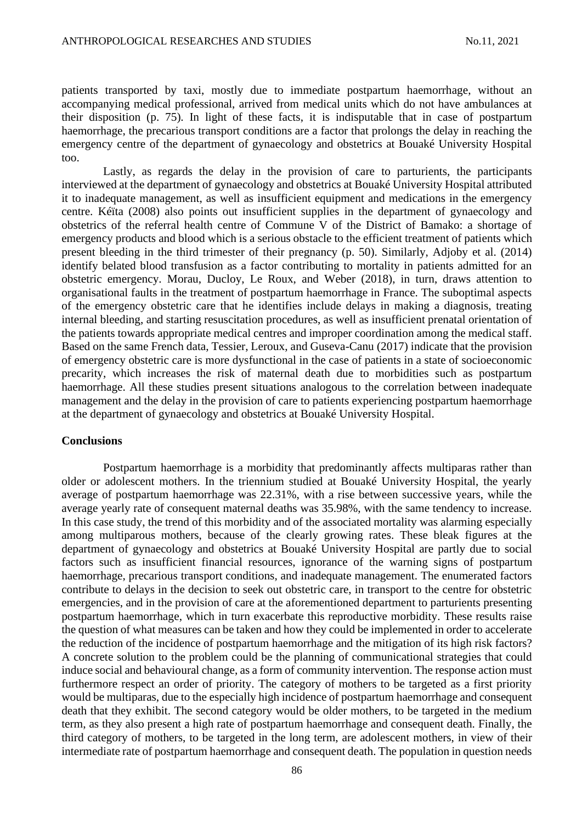patients transported by taxi, mostly due to immediate postpartum haemorrhage, without an accompanying medical professional, arrived from medical units which do not have ambulances at their disposition (p. 75). In light of these facts, it is indisputable that in case of postpartum haemorrhage, the precarious transport conditions are a factor that prolongs the delay in reaching the emergency centre of the department of gynaecology and obstetrics at Bouaké University Hospital too.

Lastly, as regards the delay in the provision of care to parturients, the participants interviewed at the department of gynaecology and obstetrics at Bouaké University Hospital attributed it to inadequate management, as well as insufficient equipment and medications in the emergency centre. Kéïta (2008) also points out insufficient supplies in the department of gynaecology and obstetrics of the referral health centre of Commune V of the District of Bamako: a shortage of emergency products and blood which is a serious obstacle to the efficient treatment of patients which present bleeding in the third trimester of their pregnancy (p. 50). Similarly, Adjoby et al. (2014) identify belated blood transfusion as a factor contributing to mortality in patients admitted for an obstetric emergency. Morau, Ducloy, Le Roux, and Weber (2018), in turn, draws attention to organisational faults in the treatment of postpartum haemorrhage in France. The suboptimal aspects of the emergency obstetric care that he identifies include delays in making a diagnosis, treating internal bleeding, and starting resuscitation procedures, as well as insufficient prenatal orientation of the patients towards appropriate medical centres and improper coordination among the medical staff. Based on the same French data, Tessier, Leroux, and Guseva-Canu (2017) indicate that the provision of emergency obstetric care is more dysfunctional in the case of patients in a state of socioeconomic precarity, which increases the risk of maternal death due to morbidities such as postpartum haemorrhage. All these studies present situations analogous to the correlation between inadequate management and the delay in the provision of care to patients experiencing postpartum haemorrhage at the department of gynaecology and obstetrics at Bouaké University Hospital.

#### **Conclusions**

Postpartum haemorrhage is a morbidity that predominantly affects multiparas rather than older or adolescent mothers. In the triennium studied at Bouaké University Hospital, the yearly average of postpartum haemorrhage was 22.31%, with a rise between successive years, while the average yearly rate of consequent maternal deaths was 35.98%, with the same tendency to increase. In this case study, the trend of this morbidity and of the associated mortality was alarming especially among multiparous mothers, because of the clearly growing rates. These bleak figures at the department of gynaecology and obstetrics at Bouaké University Hospital are partly due to social factors such as insufficient financial resources, ignorance of the warning signs of postpartum haemorrhage, precarious transport conditions, and inadequate management. The enumerated factors contribute to delays in the decision to seek out obstetric care, in transport to the centre for obstetric emergencies, and in the provision of care at the aforementioned department to parturients presenting postpartum haemorrhage, which in turn exacerbate this reproductive morbidity. These results raise the question of what measures can be taken and how they could be implemented in order to accelerate the reduction of the incidence of postpartum haemorrhage and the mitigation of its high risk factors? A concrete solution to the problem could be the planning of communicational strategies that could induce social and behavioural change, as a form of community intervention. The response action must furthermore respect an order of priority. The category of mothers to be targeted as a first priority would be multiparas, due to the especially high incidence of postpartum haemorrhage and consequent death that they exhibit. The second category would be older mothers, to be targeted in the medium term, as they also present a high rate of postpartum haemorrhage and consequent death. Finally, the third category of mothers, to be targeted in the long term, are adolescent mothers, in view of their intermediate rate of postpartum haemorrhage and consequent death. The population in question needs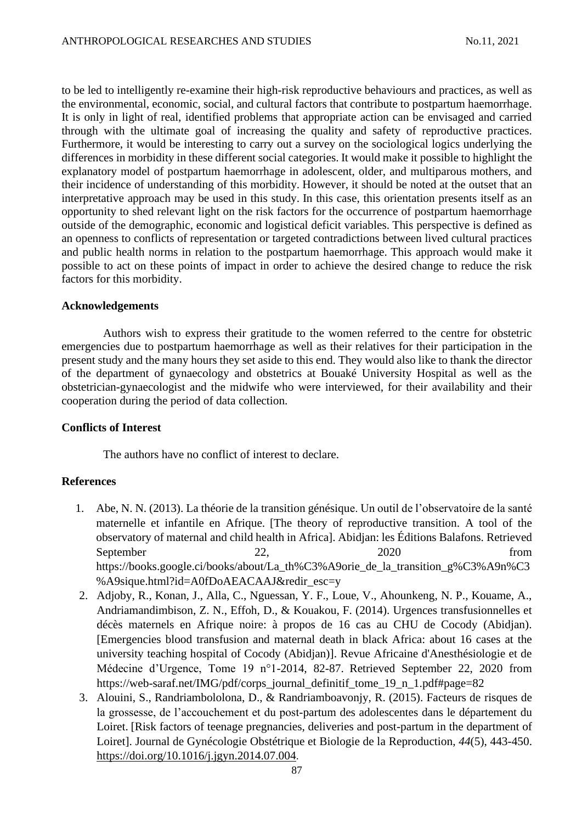to be led to intelligently re-examine their high-risk reproductive behaviours and practices, as well as the environmental, economic, social, and cultural factors that contribute to postpartum haemorrhage. It is only in light of real, identified problems that appropriate action can be envisaged and carried through with the ultimate goal of increasing the quality and safety of reproductive practices. Furthermore, it would be interesting to carry out a survey on the sociological logics underlying the differences in morbidity in these different social categories. It would make it possible to highlight the explanatory model of postpartum haemorrhage in adolescent, older, and multiparous mothers, and their incidence of understanding of this morbidity. However, it should be noted at the outset that an interpretative approach may be used in this study. In this case, this orientation presents itself as an opportunity to shed relevant light on the risk factors for the occurrence of postpartum haemorrhage outside of the demographic, economic and logistical deficit variables. This perspective is defined as an openness to conflicts of representation or targeted contradictions between lived cultural practices and public health norms in relation to the postpartum haemorrhage. This approach would make it possible to act on these points of impact in order to achieve the desired change to reduce the risk factors for this morbidity.

## **Acknowledgements**

Authors wish to express their gratitude to the women referred to the centre for obstetric emergencies due to postpartum haemorrhage as well as their relatives for their participation in the present study and the many hours they set aside to this end. They would also like to thank the director of the department of gynaecology and obstetrics at Bouaké University Hospital as well as the obstetrician-gynaecologist and the midwife who were interviewed, for their availability and their cooperation during the period of data collection.

# **Conflicts of Interest**

The authors have no conflict of interest to declare.

# **References**

- 1. Abe, N. N. (2013). La théorie de la transition génésique. Un outil de l'observatoire de la santé maternelle et infantile en Afrique. [The theory of reproductive transition. A tool of the observatory of maternal and child health in Africa]. Abidjan: les Éditions Balafons. Retrieved September 22, 2020 from https://books.google.ci/books/about/La\_th%C3%A9orie\_de\_la\_transition\_g%C3%A9n%C3 %A9sique.html?id=A0fDoAEACAAJ&redir\_esc=y
- 2. Adjoby, R., Konan, J., Alla, C., Nguessan, Y. F., Loue, V., Ahounkeng, N. P., Kouame, A., Andriamandimbison, Z. N., Effoh, D., & Kouakou, F. (2014). Urgences transfusionnelles et décès maternels en Afrique noire: à propos de 16 cas au CHU de Cocody (Abidjan). [Emergencies blood transfusion and maternal death in black Africa: about 16 cases at the university teaching hospital of Cocody (Abidjan)]. Revue Africaine d'Anesthésiologie et de Médecine d'Urgence, Tome 19 n°1-2014, 82-87. Retrieved September 22, 2020 from [https://web-saraf.net/IMG/pdf/corps\\_journal\\_definitif\\_tome\\_19\\_n\\_1.pdf#page=82](https://web-saraf.net/IMG/pdf/corps_journal_definitif_tome_19_n_1.pdf#page=82)
- 3. Alouini, S., Randriambololona, D., & Randriamboavonjy, R. (2015). Facteurs de risques de la grossesse, de l'accouchement et du post-partum des adolescentes dans le département du Loiret. [Risk factors of teenage pregnancies, deliveries and post-partum in the department of Loiret]. Journal de Gynécologie Obstétrique et Biologie de la Reproduction, *44*(5), 443-450. <https://doi.org/10.1016/j.jgyn.2014.07.004>.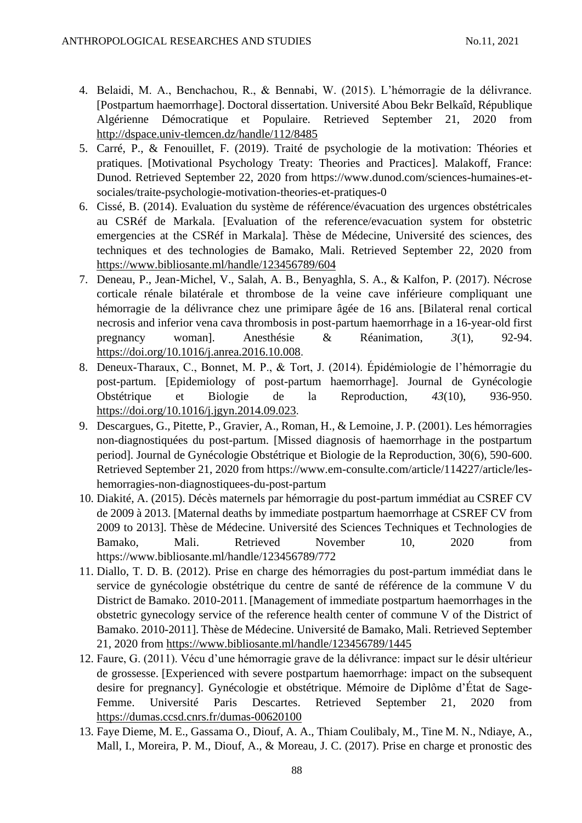- 4. Belaidi, M. A., Benchachou, R., & Bennabi, W. (2015). L'hémorragie de la délivrance. [Postpartum haemorrhage]. Doctoral dissertation. Université Abou Bekr Belkaîd, République Algérienne Démocratique et Populaire. Retrieved September 21, 2020 from <http://dspace.univ-tlemcen.dz/handle/112/8485>
- 5. Carré, P., & Fenouillet, F. (2019). Traité de psychologie de la motivation: Théories et pratiques. [Motivational Psychology Treaty: Theories and Practices]. Malakoff, France: Dunod. Retrieved September 22, 2020 from https://www.dunod.com/sciences-humaines-etsociales/traite-psychologie-motivation-theories-et-pratiques-0
- 6. Cissé, B. (2014). Evaluation du système de référence/évacuation des urgences obstétricales au CSRéf de Markala. [Evaluation of the reference/evacuation system for obstetric emergencies at the CSRéf in Markala]. Thèse de Médecine, Université des sciences, des techniques et des technologies de Bamako, Mali. Retrieved September 22, 2020 from <https://www.bibliosante.ml/handle/123456789/604>
- 7. Deneau, P., Jean-Michel, V., Salah, A. B., Benyaghla, S. A., & Kalfon, P. (2017). Nécrose corticale rénale bilatérale et thrombose de la veine cave inférieure compliquant une hémorragie de la délivrance chez une primipare âgée de 16 ans. [Bilateral renal cortical necrosis and inferior vena cava thrombosis in post-partum haemorrhage in a 16-year-old first pregnancy woman]. Anesthésie & Réanimation, *3*(1), 92-94. <https://doi.org/10.1016/j.anrea.2016.10.008>.
- 8. Deneux-Tharaux, C., Bonnet, M. P., & Tort, J. (2014). Épidémiologie de l'hémorragie du post-partum. [Epidemiology of post-partum haemorrhage]. Journal de Gynécologie Obstétrique et Biologie de la Reproduction, *43*(10), 936-950. <https://doi.org/10.1016/j.jgyn.2014.09.023>.
- 9. Descargues, G., Pitette, P., Gravier, A., Roman, H., & Lemoine, J. P. (2001). Les hémorragies non-diagnostiquées du post-partum. [Missed diagnosis of haemorrhage in the postpartum period]. Journal de Gynécologie Obstétrique et Biologie de la Reproduction, 30(6), 590-600. Retrieved September 21, 2020 from https://www.em-consulte.com/article/114227/article/leshemorragies-non-diagnostiquees-du-post-partum
- 10. Diakité, A. (2015). Décès maternels par hémorragie du post-partum immédiat au CSREF CV de 2009 à 2013. [Maternal deaths by immediate postpartum haemorrhage at CSREF CV from 2009 to 2013]. Thèse de Médecine. Université des Sciences Techniques et Technologies de Bamako, Mali. Retrieved November 10, 2020 from https://www.bibliosante.ml/handle/123456789/772
- 11. Diallo, T. D. B. (2012). Prise en charge des hémorragies du post-partum immédiat dans le service de gynécologie obstétrique du centre de santé de référence de la commune V du District de Bamako. 2010-2011. [Management of immediate postpartum haemorrhages in the obstetric gynecology service of the reference health center of commune V of the District of Bamako. 2010-2011]. Thèse de Médecine. Université de Bamako, Mali. Retrieved September 21, 2020 from<https://www.bibliosante.ml/handle/123456789/1445>
- 12. Faure, G. (2011). Vécu d'une hémorragie grave de la délivrance: impact sur le désir ultérieur de grossesse. [Experienced with severe postpartum haemorrhage: impact on the subsequent desire for pregnancy]. Gynécologie et obstétrique. Mémoire de Diplôme d'État de Sage-Femme. Université Paris Descartes. Retrieved September 21, 2020 from <https://dumas.ccsd.cnrs.fr/dumas-00620100>
- 13. Faye Dieme, M. E., Gassama O., Diouf, A. A., Thiam Coulibaly, M., Tine M. N., Ndiaye, A., Mall, I., Moreira, P. M., Diouf, A., & Moreau, J. C. (2017). Prise en charge et pronostic des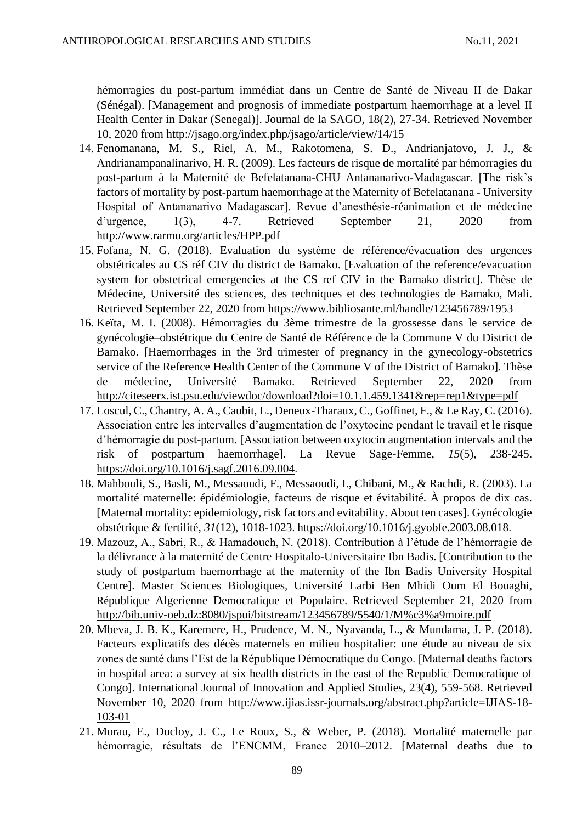hémorragies du post-partum immédiat dans un Centre de Santé de Niveau II de Dakar (Sénégal). [Management and prognosis of immediate postpartum haemorrhage at a level II Health Center in Dakar (Senegal)]. Journal de la SAGO, 18(2), 27-34. Retrieved November 10, 2020 from http://jsago.org/index.php/jsago/article/view/14/15

- 14. Fenomanana, M. S., Riel, A. M., Rakotomena, S. D., Andrianjatovo, J. J., & Andrianampanalinarivo, H. R. (2009). Les facteurs de risque de mortalité par hémorragies du post-partum à la Maternité de Befelatanana-CHU Antananarivo-Madagascar. [The risk's factors of mortality by post-partum haemorrhage at the Maternity of Befelatanana - University Hospital of Antananarivo Madagascar]. Revue d'anesthésie-réanimation et de médecine d'urgence, 1(3), 4-7. Retrieved September 21, 2020 from <http://www.rarmu.org/articles/HPP.pdf>
- 15. Fofana, N. G. (2018). Evaluation du système de référence/évacuation des urgences obstétricales au CS réf CIV du district de Bamako. [Evaluation of the reference/evacuation system for obstetrical emergencies at the CS ref CIV in the Bamako district]. Thèse de Médecine, Université des sciences, des techniques et des technologies de Bamako, Mali. Retrieved September 22, 2020 from<https://www.bibliosante.ml/handle/123456789/1953>
- 16. Keïta, M. I. (2008). Hémorragies du 3ème trimestre de la grossesse dans le service de gynécologie–obstétrique du Centre de Santé de Référence de la Commune V du District de Bamako. [Haemorrhages in the 3rd trimester of pregnancy in the gynecology-obstetrics service of the Reference Health Center of the Commune V of the District of Bamako]. Thèse de médecine, Université Bamako. Retrieved September 22, 2020 from <http://citeseerx.ist.psu.edu/viewdoc/download?doi=10.1.1.459.1341&rep=rep1&type=pdf>
- 17. Loscul, C., Chantry, A. A., Caubit, L., Deneux-Tharaux, C., Goffinet, F., & Le Ray, C. (2016). Association entre les intervalles d'augmentation de l'oxytocine pendant le travail et le risque d'hémorragie du post-partum. [Association between oxytocin augmentation intervals and the risk of postpartum haemorrhage]. La Revue Sage-Femme, *15*(5), 238-245. <https://doi.org/10.1016/j.sagf.2016.09.004>.
- 18. Mahbouli, S., Basli, M., Messaoudi, F., Messaoudi, I., Chibani, M., & Rachdi, R. (2003). La mortalité maternelle: épidémiologie, facteurs de risque et évitabilité. À propos de dix cas. [Maternal mortality: epidemiology, risk factors and evitability. About ten cases]. Gynécologie obstétrique & fertilité, *31*(12), 1018-1023. <https://doi.org/10.1016/j.gyobfe.2003.08.018>.
- 19. Mazouz, A., Sabri, R., & Hamadouch, N. (2018). Contribution à l'étude de l'hémorragie de la délivrance à la maternité de Centre Hospitalo-Universitaire Ibn Badis. [Contribution to the study of postpartum haemorrhage at the maternity of the Ibn Badis University Hospital Centre]. Master Sciences Biologiques, Université Larbi Ben Mhidi Oum El Bouaghi, République Algerienne Democratique et Populaire. Retrieved September 21, 2020 from <http://bib.univ-oeb.dz:8080/jspui/bitstream/123456789/5540/1/M%c3%a9moire.pdf>
- 20. Mbeva, J. B. K., Karemere, H., Prudence, M. N., Nyavanda, L., & Mundama, J. P. (2018). Facteurs explicatifs des décès maternels en milieu hospitalier: une étude au niveau de six zones de santé dans l'Est de la République Démocratique du Congo. [Maternal deaths factors in hospital area: a survey at six health districts in the east of the Republic Democratique of Congo]. International Journal of Innovation and Applied Studies, 23(4), 559-568. Retrieved November 10, 2020 from [http://www.ijias.issr-journals.org/abstract.php?article=IJIAS-18-](http://www.ijias.issr-journals.org/abstract.php?article=IJIAS-18-103-01) [103-01](http://www.ijias.issr-journals.org/abstract.php?article=IJIAS-18-103-01)
- 21. Morau, E., Ducloy, J. C., Le Roux, S., & Weber, P. (2018). Mortalité maternelle par hémorragie, résultats de l'ENCMM, France 2010–2012. [Maternal deaths due to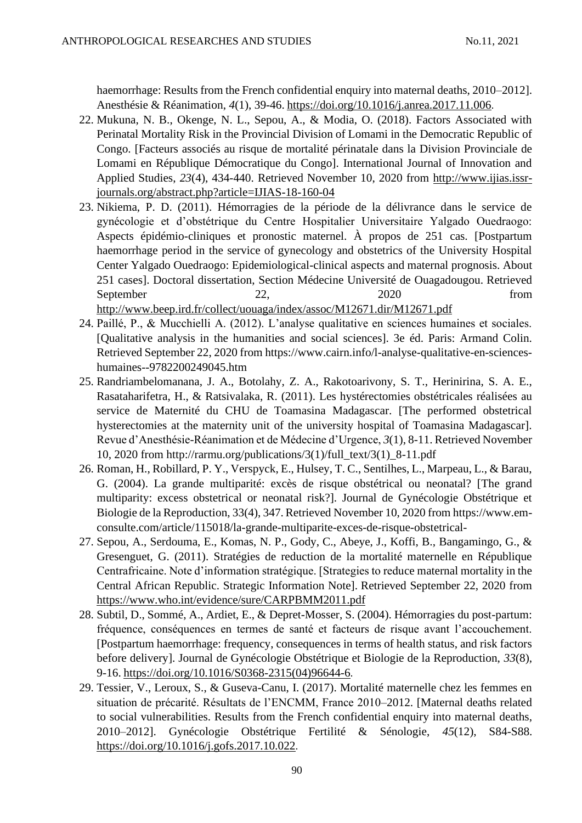haemorrhage: Results from the French confidential enquiry into maternal deaths, 2010–2012]. Anesthésie & Réanimation, *4*(1), 39-46. <https://doi.org/10.1016/j.anrea.2017.11.006>.

- 22. Mukuna, N. B., Okenge, N. L., Sepou, A., & Modia, O. (2018). Factors Associated with Perinatal Mortality Risk in the Provincial Division of Lomami in the Democratic Republic of Congo. [Facteurs associés au risque de mortalité périnatale dans la Division Provinciale de Lomami en République Démocratique du Congo]. International Journal of Innovation and Applied Studies, *23*(4), 434-440. Retrieved November 10, 2020 from [http://www.ijias.issr](http://www.ijias.issr-journals.org/abstract.php?article=IJIAS-18-160-04)[journals.org/abstract.php?article=IJIAS-18-160-04](http://www.ijias.issr-journals.org/abstract.php?article=IJIAS-18-160-04)
- 23. Nikiema, P. D. (2011). Hémorragies de la période de la délivrance dans le service de gynécologie et d'obstétrique du Centre Hospitalier Universitaire Yalgado Ouedraogo: Aspects épidémio-cliniques et pronostic maternel. À propos de 251 cas. [Postpartum haemorrhage period in the service of gynecology and obstetrics of the University Hospital Center Yalgado Ouedraogo: Epidemiological-clinical aspects and maternal prognosis. About 251 cases]. Doctoral dissertation, Section Médecine Université de Ouagadougou. Retrieved September 22, 2020 from <http://www.beep.ird.fr/collect/uouaga/index/assoc/M12671.dir/M12671.pdf>
- 24. Paillé, P., & Mucchielli A. (2012). L'analyse qualitative en sciences humaines et sociales. [Qualitative analysis in the humanities and social sciences]. 3e éd. Paris: Armand Colin. Retrieved September 22, 2020 from https://www.cairn.info/l-analyse-qualitative-en-scienceshumaines--9782200249045.htm
- 25. Randriambelomanana, J. A., Botolahy, Z. A., Rakotoarivony, S. T., Herinirina, S. A. E., Rasataharifetra, H., & Ratsivalaka, R. (2011). Les hystérectomies obstétricales réalisées au service de Maternité du CHU de Toamasina Madagascar. [The performed obstetrical hysterectomies at the maternity unit of the university hospital of Toamasina Madagascar]. Revue d'Anesthésie-Réanimation et de Médecine d'Urgence, *3*(1), 8-11. Retrieved November 10, 2020 from http://rarmu.org/publications/3(1)/full\_text/3(1)  $8-11$ .pdf
- 26. Roman, H., Robillard, P. Y., Verspyck, E., Hulsey, T. C., Sentilhes, L., Marpeau, L., & Barau, G. (2004). La grande multiparité: excès de risque obstétrical ou neonatal? [The grand multiparity: excess obstetrical or neonatal risk?]. Journal de Gynécologie Obstétrique et Biologie de la Reproduction, 33(4), 347. Retrieved November 10, 2020 from https://www.emconsulte.com/article/115018/la-grande-multiparite-exces-de-risque-obstetrical-
- 27. Sepou, A., Serdouma, E., Komas, N. P., Gody, C., Abeye, J., Koffi, B., Bangamingo, G., & Gresenguet, G. (2011). Stratégies de reduction de la mortalité maternelle en République Centrafricaine. Note d'information stratégique. [Strategies to reduce maternal mortality in the Central African Republic. Strategic Information Note]. Retrieved September 22, 2020 from <https://www.who.int/evidence/sure/CARPBMM2011.pdf>
- 28. Subtil, D., Sommé, A., Ardiet, E., & Depret-Mosser, S. (2004). Hémorragies du post-partum: fréquence, conséquences en termes de santé et facteurs de risque avant l'accouchement. [Postpartum haemorrhage: frequency, consequences in terms of health status, and risk factors before delivery]. Journal de Gynécologie Obstétrique et Biologie de la Reproduction, *33*(8), 9-16. [https://doi.org/10.1016/S0368-2315\(04\)96644-6](https://doi.org/10.1016/S0368-2315(04)96644-6).
- 29. Tessier, V., Leroux, S., & Guseva-Canu, I. (2017). Mortalité maternelle chez les femmes en situation de précarité. Résultats de l'ENCMM, France 2010–2012. [Maternal deaths related to social vulnerabilities. Results from the French confidential enquiry into maternal deaths, 2010–2012]. Gynécologie Obstétrique Fertilité & Sénologie, *45*(12), S84-S88. <https://doi.org/10.1016/j.gofs.2017.10.022>.